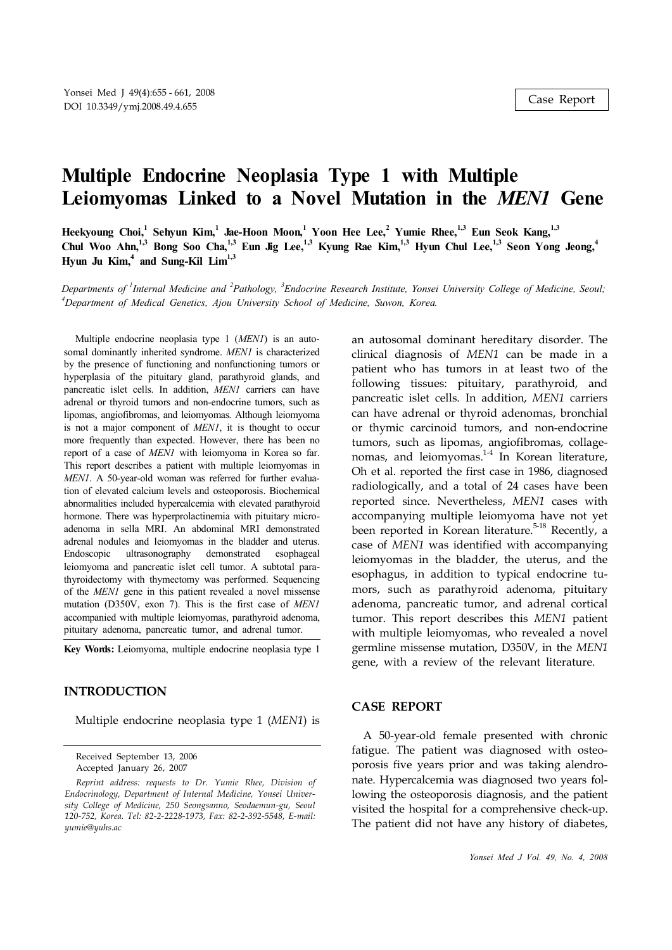# **Multiple Endocrine Neoplasia Type 1 with Multiple Leiomyomas Linked to a Novel Mutation in the** *MEN1* **Gene**

Heekyoung Choi,<sup>1</sup> Sehyun Kim,<sup>1</sup> Jae-Hoon Moon,<sup>1</sup> Yoon Hee Lee,<sup>2</sup> Yumie Rhee,<sup>1,3</sup> Eun Seok Kang,<sup>1,3</sup> Chul Woo Ahn,<sup>1,3</sup> Bong Soo Cha,<sup>1,3</sup> Eun Jig Lee,<sup>1,3</sup> Kyung Rae Kim,<sup>1,3</sup> Hyun Chul Lee,<sup>1,3</sup> Seon Yong Jeong,<sup>4</sup> **Hyun Ju Kim, 4 and Sung-Kil Lim 1,3**

Departments of <sup>1</sup>Internal Medicine and <sup>2</sup>Pathology, <sup>3</sup>Endocrine Research Institute, Yonsei University College of Medicine, Seoul; *<sup>4</sup>Department of Medical Genetics, Ajou University School of Medicine, Suwon, Korea.*

Multiple endocrine neoplasia type 1 (*MEN1*) is an autosomal dominantly inherited syndrome. *MEN1* is characterized by the presence of functioning and nonfunctioning tumors or hyperplasia of the pituitary gland, parathyroid glands, and pancreatic islet cells. In addition, *MEN1* carriers can have adrenal or thyroid tumors and non-endocrine tumors, such as lipomas, angiofibromas, and leiomyomas. Although leiomyoma is not a major component of *MEN1*, it is thought to occur more frequently than expected. However, there has been no report of a case of *MEN1* with leiomyoma in Korea so far. This report describes a patient with multiple leiomyomas in *MEN1*. A 50-year-old woman was referred for further evaluation of elevated calcium levels and osteoporosis. Biochemical abnormalities included hypercalcemia with elevated parathyroid hormone. There was hyperprolactinemia with pituitary microadenoma in sella MRI. An abdominal MRI demonstrated adrenal nodules and leiomyomas in the bladder and uterus. Endoscopic ultrasonography demonstrated esophageal leiomyoma and pancreatic islet cell tumor. A subtotal parathyroidectomy with thymectomy was performed. Sequencing of the *MEN1* gene in this patient revealed a novel missense mutation (D350V, exon 7). This is the first case of *MEN1* accompanied with multiple leiomyomas, parathyroid adenoma, pituitary adenoma, pancreatic tumor, and adrenal tumor.

**Key Words:** Leiomyoma, multiple endocrine neoplasia type 1

## **INTRODUCTION**

Multiple endocrine neoplasia type 1 (*MEN1*) is

Received September 13, 2006 Accepted January 26, 2007

*Reprint address: requests to Dr. Yumie Rhee, Division of Endocrinology, Department of Internal Medicine, Yonsei University College of Medicine, 250 Seongsanno, Seodaemun-gu, Seoul 120-752, Korea. Tel: 82-2-2228-1973, Fax: 82-2-392-5548, E-mail: yumie@yuhs.ac*

an autosomal dominant hereditary disorder. The clinical diagnosis of *MEN1* can be made in a patient who has tumors in at least two of the following tissues: pituitary, parathyroid, and pancreatic islet cells. In addition, *MEN1* carriers can have adrenal or thyroid adenomas, bronchial or thymic carcinoid tumors, and non-endocrine tumors, such as lipomas, angiofibromas, collagenomas, and leiomyomas.<sup>1-4</sup> In Korean literature, Oh et al. reported the first case in 1986, diagnosed radiologically, and a total of 24 cases have been reported since. Nevertheless, *MEN1* cases with accompanying multiple leiomyoma have not yet been reported in Korean literature.<sup>5-18</sup> Recently, a case of *MEN1* was identified with accompanying leiomyomas in the bladder, the uterus, and the esophagus, in addition to typical endocrine tumors, such as parathyroid adenoma, pituitary adenoma, pancreatic tumor, and adrenal cortical tumor. This report describes this *MEN1* patient with multiple leiomyomas, who revealed a novel germline missense mutation, D350V, in the *MEN1* gene, with a review of the relevant literature.

### **CASE REPORT**

A 50-year-old female presented with chronic fatigue. The patient was diagnosed with osteoporosis five years prior and was taking alendronate. Hypercalcemia was diagnosed two years following the osteoporosis diagnosis, and the patient visited the hospital for a comprehensive check-up. The patient did not have any history of diabetes,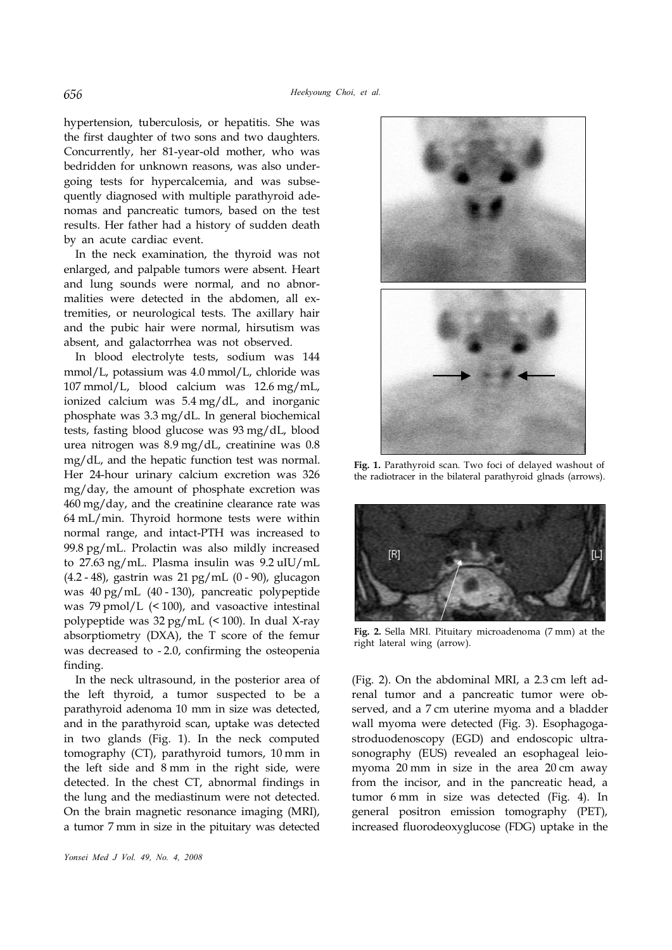hypertension, tuberculosis, or hepatitis. She was the first daughter of two sons and two daughters. Concurrently, her 81-year-old mother, who was bedridden for unknown reasons, was also undergoing tests for hypercalcemia, and was subsequently diagnosed with multiple parathyroid adenomas and pancreatic tumors, based on the test results. Her father had a history of sudden death by an acute cardiac event.

In the neck examination, the thyroid was not enlarged, and palpable tumors were absent. Heart and lung sounds were normal, and no abnormalities were detected in the abdomen, all extremities, or neurological tests. The axillary hair and the pubic hair were normal, hirsutism was absent, and galactorrhea was not observed.

In blood electrolyte tests, sodium was 144 mmol/L, potassium was 4.0 mmol/L, chloride was 107 mmol/L, blood calcium was 12.6 mg/mL, ionized calcium was 5.4 mg/dL, and inorganic phosphate was 3.3 mg/dL. In general biochemical tests, fasting blood glucose was 93 mg/dL, blood urea nitrogen was 8.9 mg/dL, creatinine was 0.8 mg/dL, and the hepatic function test was normal. Her 24-hour urinary calcium excretion was 326 mg/day, the amount of phosphate excretion was 460 mg/day, and the creatinine clearance rate was 64 mL/min. Thyroid hormone tests were within normal range, and intact-PTH was increased to 99.8 pg/mL. Prolactin was also mildly increased to 27.63 ng/mL. Plasma insulin was 9.2 uIU/mL (4.2 - 48), gastrin was 21 pg/mL (0 - 90), glucagon was 40 pg/mL (40 - 130), pancreatic polypeptide was 79 pmol/L (< 100), and vasoactive intestinal polypeptide was 32 pg/mL (< 100). In dual X-ray absorptiometry (DXA), the T score of the femur was decreased to - 2.0, confirming the osteopenia finding.

In the neck ultrasound, in the posterior area of the left thyroid, a tumor suspected to be a parathyroid adenoma 10 mm in size was detected, and in the parathyroid scan, uptake was detected in two glands (Fig. 1). In the neck computed tomography (CT), parathyroid tumors, 10 mm in the left side and 8 mm in the right side, were detected. In the chest CT, abnormal findings in the lung and the mediastinum were not detected. On the brain magnetic resonance imaging (MRI), a tumor 7 mm in size in the pituitary was detected



**Fig. 1.** Parathyroid scan. Two foci of delayed washout of the radiotracer in the bilateral parathyroid glnads (arrows).



**Fig. 2.** Sella MRI. Pituitary microadenoma (7 mm) at the right lateral wing (arrow).

(Fig. 2). On the abdominal MRI, a 2.3 cm left adrenal tumor and a pancreatic tumor were observed, and a 7 cm uterine myoma and a bladder wall myoma were detected (Fig. 3). Esophagogastroduodenoscopy (EGD) and endoscopic ultrasonography (EUS) revealed an esophageal leiomyoma 20 mm in size in the area 20 cm away from the incisor, and in the pancreatic head, a tumor 6 mm in size was detected (Fig. 4). In general positron emission tomography (PET), increased fluorodeoxyglucose (FDG) uptake in the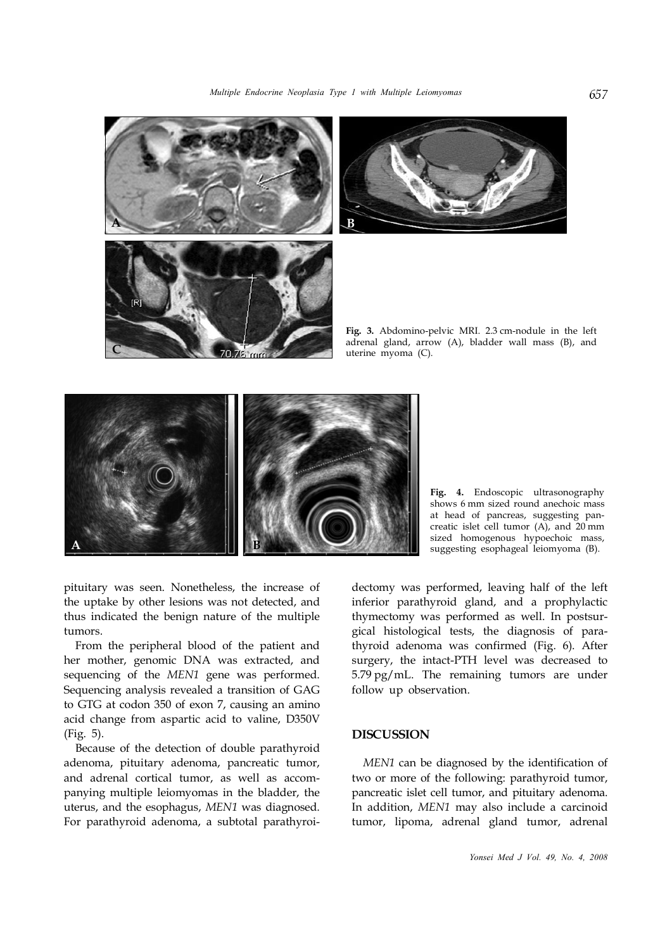



**Fig. 3.** Abdomino-pelvic MRI. 2.3 cm-nodule in the left adrenal gland, arrow (A), bladder wall mass (B), and uterine myoma (C).



**Fig. 4.** Endoscopic ultrasonography shows 6 mm sized round anechoic mass at head of pancreas, suggesting pancreatic islet cell tumor (A), and 20 mm sized homogenous hypoechoic mass, suggesting esophageal leiomyoma (B).

pituitary was seen. Nonetheless, the increase of the uptake by other lesions was not detected, and thus indicated the benign nature of the multiple tumors.

From the peripheral blood of the patient and her mother, genomic DNA was extracted, and sequencing of the *MEN1* gene was performed. Sequencing analysis revealed a transition of GAG to GTG at codon 350 of exon 7, causing an amino acid change from aspartic acid to valine, D350V (Fig. 5).

Because of the detection of double parathyroid adenoma, pituitary adenoma, pancreatic tumor, and adrenal cortical tumor, as well as accompanying multiple leiomyomas in the bladder, the uterus, and the esophagus, *MEN1* was diagnosed. For parathyroid adenoma, a subtotal parathyroidectomy was performed, leaving half of the left inferior parathyroid gland, and a prophylactic thymectomy was performed as well. In postsurgical histological tests, the diagnosis of parathyroid adenoma was confirmed (Fig. 6). After surgery, the intact-PTH level was decreased to 5.79 pg/mL. The remaining tumors are under follow up observation.

### **DISCUSSION**

*MEN1* can be diagnosed by the identification of two or more of the following: parathyroid tumor, pancreatic islet cell tumor, and pituitary adenoma. In addition, *MEN1* may also include a carcinoid tumor, lipoma, adrenal gland tumor, adrenal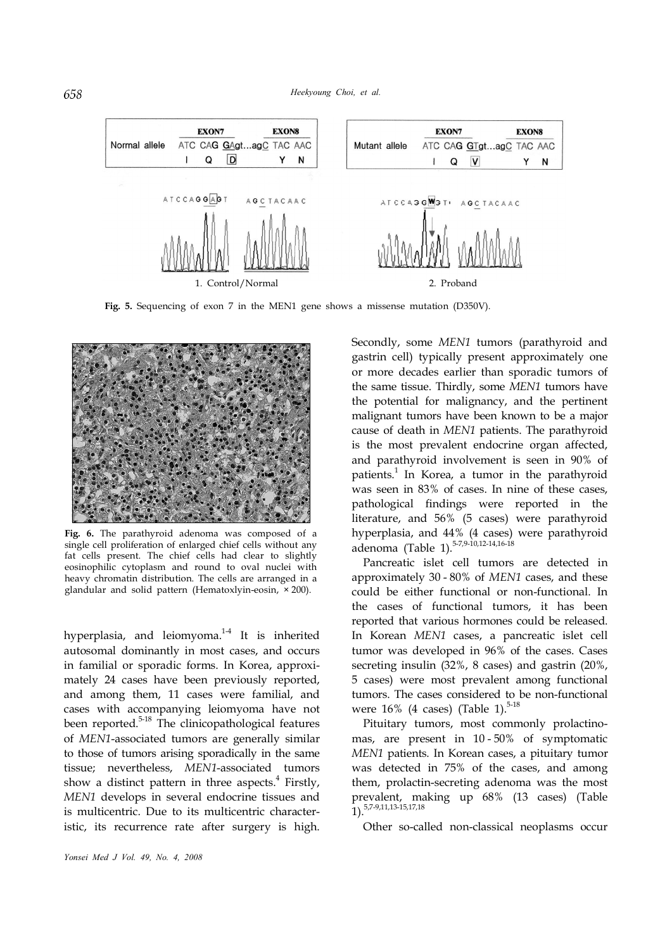

**Fig. 5.** Sequencing of exon 7 in the MEN1 gene shows a missense mutation (D350V).



**Fig. 6.** The parathyroid adenoma was composed of a single cell proliferation of enlarged chief cells without any fat cells present. The chief cells had clear to slightly eosinophilic cytoplasm and round to oval nuclei with heavy chromatin distribution. The cells are arranged in a glandular and solid pattern (Hematoxlyin-eosin, × 200).

hyperplasia, and leiomyoma.<sup>14</sup> It is inherited autosomal dominantly in most cases, and occurs in familial or sporadic forms. In Korea, approximately 24 cases have been previously reported, and among them, 11 cases were familial, and cases with accompanying leiomyoma have not been reported.<sup>5-18</sup> The clinicopathological features of *MEN1*-associated tumors are generally similar to those of tumors arising sporadically in the same tissue; nevertheless, *MEN1*-associated tumors show a distinct pattern in three aspects. 4 Firstly, *MEN1* develops in several endocrine tissues and is multicentric. Due to its multicentric characteristic, its recurrence rate after surgery is high.

Secondly, some *MEN1* tumors (parathyroid and gastrin cell) typically present approximately one or more decades earlier than sporadic tumors of the same tissue. Thirdly, some *MEN1* tumors have the potential for malignancy, and the pertinent malignant tumors have been known to be a major cause of death in *MEN1* patients. The parathyroid is the most prevalent endocrine organ affected, and parathyroid involvement is seen in 90% of patients.<sup>1</sup> In Korea, a tumor in the parathyroid was seen in 83% of cases. In nine of these cases, pathological findings were reported in the literature, and 56% (5 cases) were parathyroid hyperplasia, and 44% (4 cases) were parathyroid adenoma (Table 1). 5-7,9-10,12-14,16-18

Pancreatic islet cell tumors are detected in approximately 30 - 80% of *MEN1* cases, and these could be either functional or non-functional. In the cases of functional tumors, it has been reported that various hormones could be released. In Korean *MEN1* cases, a pancreatic islet cell tumor was developed in 96% of the cases. Cases secreting insulin (32%, 8 cases) and gastrin (20%, 5 cases) were most prevalent among functional tumors. The cases considered to be non-functional were  $16\%$  (4 cases) (Table 1).<sup>5-18</sup>

Pituitary tumors, most commonly prolactinomas, are present in 10 - 50% of symptomatic *MEN1* patients. In Korean cases, a pituitary tumor was detected in 75% of the cases, and among them, prolactin-secreting adenoma was the most prevalent, making up 68% (13 cases) (Table 1). 5,7-9,11,13-15,17,18

Other so-called non-classical neoplasms occur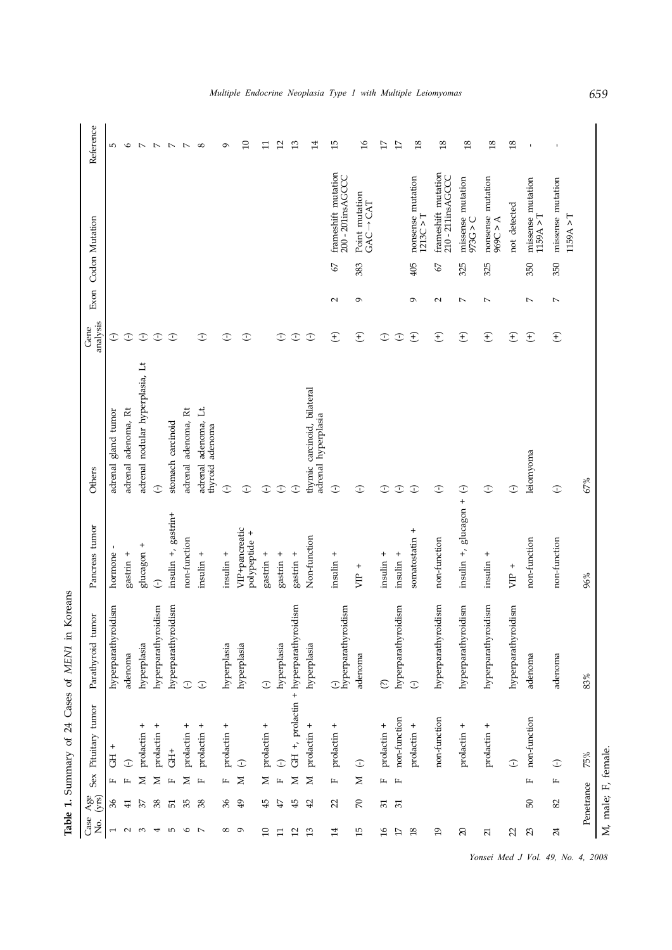| Case<br>Σó,              | Age<br>(yrs)   |              | Sex Pituitary tumor | Parathyroid tumor                     | Pancreas tumor                  | Others                                             | analysis<br>Gene | Exon             | Codon Mutation                                            | Reference       |
|--------------------------|----------------|--------------|---------------------|---------------------------------------|---------------------------------|----------------------------------------------------|------------------|------------------|-----------------------------------------------------------|-----------------|
| $\overline{ }$           | 36             | щ            | $^{+}$<br>FO        | hyperparathyroidism                   | hormone                         | gland tumor<br>adrenal                             | $\mathbb{C}$     |                  |                                                           | Ю               |
| $\sim$                   | 41             |              | $\mathbb{C}$        | adenoma                               | gastrin +                       | adrenal adenoma, Rt                                | $\bigcirc$       |                  |                                                           | $\circ$         |
| $\mathcal{E}$            | 37             | Σ            | prolactin +         | hyperplasia                           | $\ddot{}$<br>glucagon           | adrenal nodular hyperplasia, Lt                    | $\bigcirc$       |                  |                                                           | $\overline{a}$  |
| 4                        | 38             | Σ            | prolactin +         | hyperparathyroidism                   | $\bigcirc$                      | $\bigcirc$                                         | $\bigcirc$       |                  |                                                           | $\overline{a}$  |
| 5                        | 51             | щ            | $\ddot{\pm}$        | hyperparathyroidism                   | insulin +, gastrin+             | stomach carcinoid                                  | $\bigcirc$       |                  |                                                           | $\overline{a}$  |
| $\circ$                  | 35             | $\geq$       | prolactin +         | $\bigodot$                            | non-function                    | adrenal adenoma, Rt                                |                  |                  |                                                           | $\overline{a}$  |
| $\overline{a}$           | 38             | $\mathbb{L}$ | prolactin +         | $\bigcirc$                            | insulin +                       | adenoma, Lt.<br>adenoma<br>thyroid<br>adrenal      | $\mathbb{C}$     |                  |                                                           | ${}^{\circ}$    |
| $^{\circ}$               | 36             | $\mathbb{L}$ | prolactin +         | hyperplasia                           | $insulin +$                     | $\bigcirc$                                         | $\odot$          |                  |                                                           | ó               |
| Q                        | $\frac{49}{5}$ | $\geq$       | $\bigcirc$          | hyperplasia                           | VIP+pancreatic<br>polypeptide + | $\mathbb{C}$                                       | ⊙                |                  |                                                           | $\Box$          |
| $\Omega$                 | 45             | $\geq$       | prolactin +         | $\bigodot$                            | gastrin $+$                     | $\bigcirc$                                         |                  |                  |                                                           | $\Xi$           |
| $\Xi$                    | 47             | $\mathbf{r}$ | $\bigcirc$          | hyperplasia                           | gastrin $\,$ + $\,$             | $\bigcirc$                                         | $\mathbb{C}$     |                  |                                                           | 12              |
| $\overline{c}$           | 45             | $\geq$       |                     | GH +, prolactin + hyperparathyroidism | gastrin +                       | $\mathbb{C}$                                       | $\bigcirc$       |                  |                                                           | 13              |
| 13                       | 42             | $\geq$       | $^{+}$<br>prolactin | hyperplasia                           | Non-function                    | thymic carcinoid, bilateral<br>adrenal hyperplasia | $\bigcirc$       |                  |                                                           | $\overline{14}$ |
| $\overline{14}$          | 22             | $\mathbf{L}$ | prolactin +         | hyperparathyroidism<br>$\mathbb{C}$   | $insulin +$                     | $\bigcirc$                                         | $\widehat{f}$    | $\sim$           | frameshift mutation<br>200 - 201insAGCCC<br>$\mathcal{Q}$ | 15              |
| 15                       | $\gtrsim$      | $\geq$       | $\bigcirc$          | adenoma                               | $VIP +$                         | $\bigcirc$                                         | $\widehat{f}$    | G                | Point mutation<br>$GAC \rightarrow CAT$<br>383            | $\frac{8}{1}$   |
| $\mathfrak{g}$           | $\sqrt{31}$    | щ            | prolactin +         | $\odot$                               | $insulin +$                     | $\mathbb{C}$                                       | $\bigcirc$       |                  |                                                           | 17              |
| $\Gamma$                 | 51             | $\mu$        | non-function        | hyperparathyroidism                   | $insulin +$                     | $\bigcirc$                                         | $\bigcirc$       |                  |                                                           | $17\,$          |
| $18$                     |                |              | prolactin +         | $\bigcirc$                            | $\ddot{}$<br>somatostatin       | $\bigcirc$                                         | $\mathcal{F}$    | G                | nonsense mutation<br>1213C > T<br>405                     | $18\,$          |
| $\overline{19}$          |                |              | non-function        | hyperparathyroidism                   | non-function                    | $\bigcirc$                                         | $\widehat{f}$    | $\sim$           | frameshift mutation<br>210-211insAGCCC<br>57              | $\overline{18}$ |
| $\mathbb{S}$             |                |              | $^{+}$<br>prolactin | hyperparathyroidism                   | insulin +, glucagon +           | $\bigcirc$                                         | $\widehat{t}$    | $\overline{ }$   | missense mutation<br>$C$<br>$>$ C<br>325                  | $18\,$          |
| $\overline{\mathcal{L}}$ |                |              | prolactin +         | hyperparathyroidism                   | insulin +                       | $\bigcirc$                                         | $\widehat{f}$    | $\overline{a}$   | nonsense mutation<br>$\angle 969C > A$<br>325             | $\frac{8}{2}$   |
| $\mathfrak{D}$           |                |              | $\bigcirc$          | hyperparathyroidism                   | $VIP +$                         | $\mathbb{C}$                                       | $\bigoplus$      |                  | not detected                                              | 18              |
| $\mathbb{Z}^2$           | 50             | $\mathbf{L}$ | non-function        | adenoma                               | non-function                    | leiomyoma                                          | $\widehat{t}$    | $\sim$           | missense mutation<br>1159A > T<br>350                     | $\mathbf{I}$    |
| 24                       | $82\,$         | щ            | $\bigcirc$          | adenoma                               | non-function                    | $\bigcirc$                                         | $\bigoplus$      | $\triangleright$ | missense mutation<br>1159A > T<br>350                     |                 |
|                          | Penetrance     |              | 75%                 | 83%                                   | 96%                             | 67%                                                |                  |                  |                                                           |                 |
|                          |                |              | M, male; F, female. |                                       |                                 |                                                    |                  |                  |                                                           |                 |

Table 1. Summary of 24 Cases of MEN1 in Koreans **Table 1.** Summary of 24 Cases of *MEN1* in Koreans

*Yonsei Med J Vol. 49, No. 4, 2008*

*Multiple Endocrine Neoplasia Type 1 with Multiple Leiomyomas 659*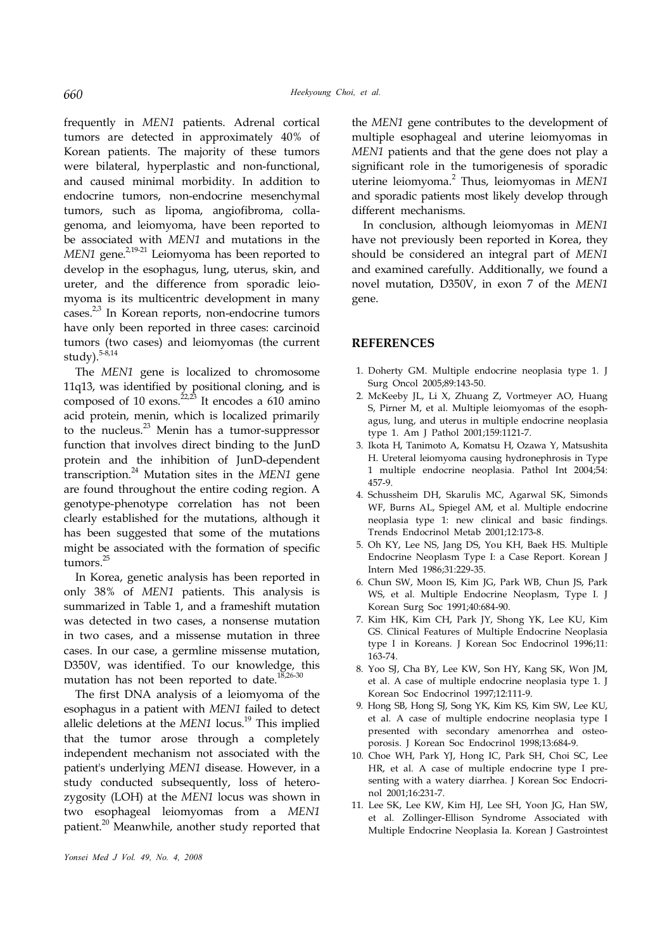frequently in *MEN1* patients. Adrenal cortical tumors are detected in approximately 40% of Korean patients. The majority of these tumors were bilateral, hyperplastic and non-functional, and caused minimal morbidity. In addition to endocrine tumors, non-endocrine mesenchymal tumors, such as lipoma, angiofibroma, collagenoma, and leiomyoma, have been reported to be associated with *MEN1* and mutations in the MEN1 gene.<sup>2,19-21</sup> Leiomyoma has been reported to develop in the esophagus, lung, uterus, skin, and ureter, and the difference from sporadic leiomyoma is its multicentric development in many cases.<sup>2,3</sup> In Korean reports, non-endocrine tumors have only been reported in three cases: carcinoid tumors (two cases) and leiomyomas (the current study). 5-8,14

The *MEN1* gene is localized to chromosome 11q13, was identified by positional cloning, and is composed of 10 exons. $22,23$  It encodes a 610 amino acid protein, menin, which is localized primarily to the nucleus.<sup>23</sup> Menin has a tumor-suppressor function that involves direct binding to the JunD protein and the inhibition of JunD-dependent transcription. <sup>24</sup> Mutation sites in the *MEN1* gene are found throughout the entire coding region. A genotype-phenotype correlation has not been clearly established for the mutations, although it has been suggested that some of the mutations might be associated with the formation of specific tumors. 25

In Korea, genetic analysis has been reported in only 38% of *MEN1* patients. This analysis is summarized in Table 1, and a frameshift mutation was detected in two cases, a nonsense mutation in two cases, and a missense mutation in three cases. In our case, a germline missense mutation, D350V, was identified. To our knowledge, this mutation has not been reported to date.<sup>18,26-30</sup>

The first DNA analysis of a leiomyoma of the esophagus in a patient with *MEN1* failed to detect allelic deletions at the *MEN1* locus. 19 This implied that the tumor arose through a completely independent mechanism not associated with the patient's underlying *MEN1* disease. However, in a study conducted subsequently, loss of heterozygosity (LOH) at the *MEN1* locus was shown in two esophageal leiomyomas from a *MEN1* patient.<sup>20</sup> Meanwhile, another study reported that

the *MEN1* gene contributes to the development of multiple esophageal and uterine leiomyomas in *MEN1* patients and that the gene does not play a significant role in the tumorigenesis of sporadic uterine leiomyoma. 2 Thus, leiomyomas in *MEN1* and sporadic patients most likely develop through different mechanisms.

In conclusion, although leiomyomas in *MEN1* have not previously been reported in Korea, they should be considered an integral part of *MEN1* and examined carefully. Additionally, we found a novel mutation, D350V, in exon 7 of the *MEN1* gene.

### **REFERENCES**

- 1. Doherty GM. Multiple endocrine neoplasia type 1. J Surg Oncol 2005;89:143-50.
- 2. McKeeby JL, Li X, Zhuang Z, Vortmeyer AO, Huang S, Pirner M, et al. Multiple leiomyomas of the esophagus, lung, and uterus in multiple endocrine neoplasia type 1. Am J Pathol 2001;159:1121-7.
- 3. Ikota H, Tanimoto A, Komatsu H, Ozawa Y, Matsushita H. Ureteral leiomyoma causing hydronephrosis in Type 1 multiple endocrine neoplasia. Pathol Int 2004;54: 457-9.
- 4. Schussheim DH, Skarulis MC, Agarwal SK, Simonds WF, Burns AL, Spiegel AM, et al. Multiple endocrine neoplasia type 1: new clinical and basic findings. Trends Endocrinol Metab 2001;12:173-8.
- 5. Oh KY, Lee NS, Jang DS, You KH, Baek HS. Multiple Endocrine Neoplasm Type I: a Case Report. Korean J Intern Med 1986;31:229-35.
- 6. Chun SW, Moon IS, Kim JG, Park WB, Chun JS, Park WS, et al. Multiple Endocrine Neoplasm, Type I. J Korean Surg Soc 1991;40:684-90.
- 7. Kim HK, Kim CH, Park JY, Shong YK, Lee KU, Kim GS. Clinical Features of Multiple Endocrine Neoplasia type I in Koreans. J Korean Soc Endocrinol 1996;11: 163-74.
- 8. Yoo SJ, Cha BY, Lee KW, Son HY, Kang SK, Won JM, et al. A case of multiple endocrine neoplasia type 1. J Korean Soc Endocrinol 1997;12:111-9.
- 9. Hong SB, Hong SJ, Song YK, Kim KS, Kim SW, Lee KU, et al. A case of multiple endocrine neoplasia type I presented with secondary amenorrhea and osteoporosis. J Korean Soc Endocrinol 1998;13:684-9.
- 10. Choe WH, Park YJ, Hong IC, Park SH, Choi SC, Lee HR, et al. A case of multiple endocrine type I presenting with a watery diarrhea. J Korean Soc Endocrinol 2001;16:231-7.
- 11. Lee SK, Lee KW, Kim HJ, Lee SH, Yoon JG, Han SW, et al. Zollinger-Ellison Syndrome Associated with Multiple Endocrine Neoplasia Ia. Korean J Gastrointest